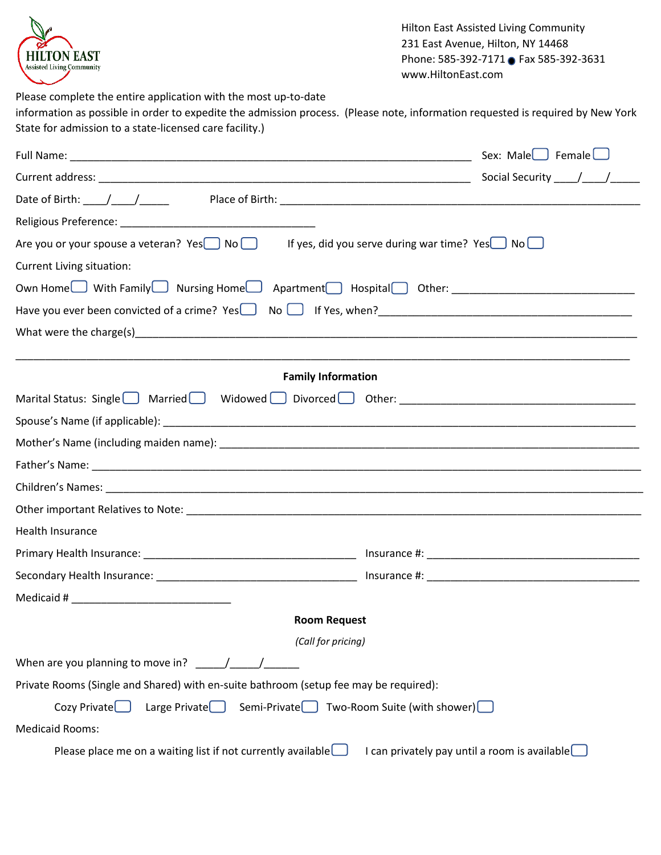

Hilton East Assisted Living Community 231 East Avenue, Hilton, NY 14468 Phone: 585-392-7171 Fax 585-392-3631 www.HiltonEast.com

Please complete the entire application with the most up-to-date information as possible in order to expedite the admission process. (Please note, information requested is required by New York State for admission to a state-licensed care facility.)

|                                                                                                                                                                                                          | Sex: Male $\Box$ Female $\Box$                              |
|----------------------------------------------------------------------------------------------------------------------------------------------------------------------------------------------------------|-------------------------------------------------------------|
|                                                                                                                                                                                                          |                                                             |
|                                                                                                                                                                                                          |                                                             |
|                                                                                                                                                                                                          |                                                             |
| Are you or your spouse a veteran? $Yes$ No                                                                                                                                                               | If yes, did you serve during war time? Yes $\Box$ No $\Box$ |
| <b>Current Living situation:</b>                                                                                                                                                                         |                                                             |
| Own Home With Family Nursing Home Apartment Hospital Other: ____________________                                                                                                                         |                                                             |
| Have you ever been convicted of a crime? Yes No No Hi Yes, when?<br>16 Yes, when?<br>16 Yes, when?<br>16 Yes, when?<br>16 Yes, when?<br>16 Yes, when?<br>16 Yes, when?<br>16 Yes, when?<br>16 Yes, When? |                                                             |
|                                                                                                                                                                                                          |                                                             |
|                                                                                                                                                                                                          |                                                             |
| <b>Family Information</b>                                                                                                                                                                                |                                                             |
| Marital Status: Single Married Widowed Divorced Other: __________________________                                                                                                                        |                                                             |
|                                                                                                                                                                                                          |                                                             |
|                                                                                                                                                                                                          |                                                             |
|                                                                                                                                                                                                          |                                                             |
|                                                                                                                                                                                                          |                                                             |
|                                                                                                                                                                                                          |                                                             |
| Health Insurance                                                                                                                                                                                         |                                                             |
|                                                                                                                                                                                                          |                                                             |
|                                                                                                                                                                                                          |                                                             |
|                                                                                                                                                                                                          |                                                             |
| <b>Room Request</b>                                                                                                                                                                                      |                                                             |
| (Call for pricing)                                                                                                                                                                                       |                                                             |
| When are you planning to move in? $/$                                                                                                                                                                    |                                                             |
| Private Rooms (Single and Shared) with en-suite bathroom (setup fee may be required):                                                                                                                    |                                                             |
| Large Private Semi-Private Two-Room Suite (with shower)<br>$Cozy$ Private $\Box$                                                                                                                         |                                                             |
| <b>Medicaid Rooms:</b>                                                                                                                                                                                   |                                                             |
| Please place me on a waiting list if not currently available $\Box$                                                                                                                                      | I can privately pay until a room is available               |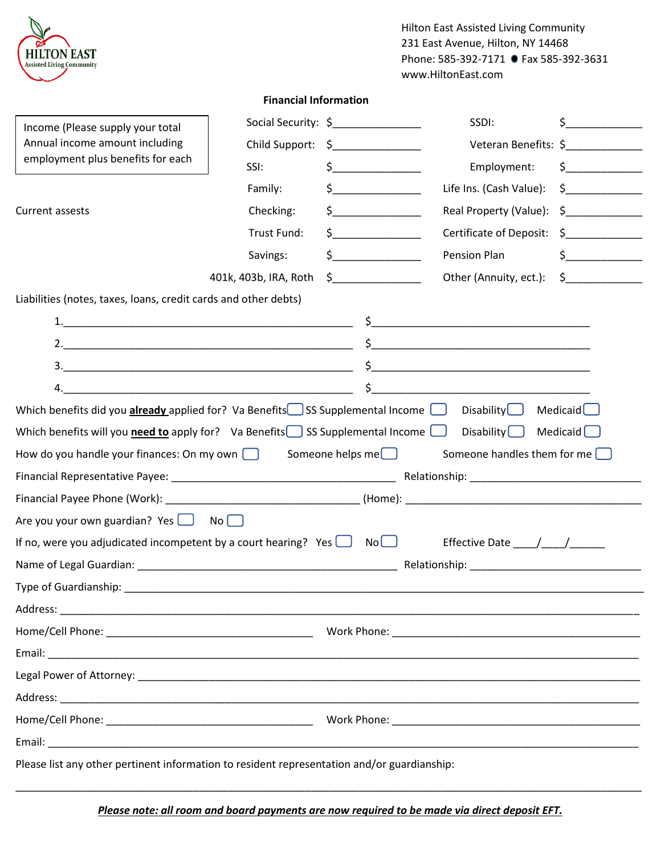| HILTON EAST<br><b>Assisted Living Community</b>                                             |                              |                         | <b>Hilton East Assisted Living Community</b><br>231 East Avenue, Hilton, NY 14468<br>Phone: 585-392-7171 Fax 585-392-3631<br>www.HiltonEast.com |                      |
|---------------------------------------------------------------------------------------------|------------------------------|-------------------------|-------------------------------------------------------------------------------------------------------------------------------------------------|----------------------|
|                                                                                             | <b>Financial Information</b> |                         |                                                                                                                                                 |                      |
| Income (Please supply your total                                                            | Social Security: \$          |                         | SSDI:                                                                                                                                           | $\zeta$              |
| Annual income amount including                                                              | Child Support: \$            |                         | Veteran Benefits: \$                                                                                                                            |                      |
| employment plus benefits for each                                                           | SSI:                         | $\sharp$                | Employment:                                                                                                                                     | $\frac{1}{\sqrt{2}}$ |
|                                                                                             | Family:                      | $\sharp$                | Life Ins. (Cash Value):                                                                                                                         | $\sim$               |
| Current assests                                                                             | Checking:                    |                         | Real Property (Value):                                                                                                                          | $\sim$ $\sim$        |
|                                                                                             | Trust Fund:                  | $\zeta$                 | <b>Certificate of Deposit:</b>                                                                                                                  | $\sharp$             |
|                                                                                             | Savings:                     | $\zeta$                 | Pension Plan                                                                                                                                    | $\sim$               |
|                                                                                             | 401k, 403b, IRA, Roth        |                         | Other (Annuity, ect.):                                                                                                                          | $\sharp$             |
| Liabilities (notes, taxes, loans, credit cards and other debts)                             |                              |                         |                                                                                                                                                 |                      |
|                                                                                             |                              |                         |                                                                                                                                                 |                      |
|                                                                                             |                              |                         |                                                                                                                                                 |                      |
|                                                                                             |                              |                         |                                                                                                                                                 |                      |
|                                                                                             |                              | $\sharp$ and $\sharp$   |                                                                                                                                                 |                      |
| Which benefits did you <b>already</b> applied for? Va Benefits SS Supplemental Income       |                              |                         | Disability                                                                                                                                      | Medicaid $\Box$      |
| Which benefits will you <b>need to</b> apply for? Va Benefits SS Supplemental Income        |                              |                         | Disability $\Box$                                                                                                                               | Medicaid             |
| How do you handle your finances: On my own $\Box$                                           |                              | Someone helps me $\Box$ | Someone handles them for me $\square$                                                                                                           |                      |
|                                                                                             |                              |                         |                                                                                                                                                 |                      |
| Financial Payee Phone (Work):                                                               |                              | (Home):                 |                                                                                                                                                 |                      |
| Are you your own guardian? Yes $\Box$ No $\Box$                                             |                              |                         |                                                                                                                                                 |                      |
| If no, were you adjudicated incompetent by a court hearing? Yes $\Box$ No $\Box$            |                              |                         | Effective Date ____/____/______                                                                                                                 |                      |
|                                                                                             |                              |                         |                                                                                                                                                 |                      |
|                                                                                             |                              |                         |                                                                                                                                                 |                      |
|                                                                                             |                              |                         |                                                                                                                                                 |                      |
|                                                                                             |                              |                         |                                                                                                                                                 |                      |
|                                                                                             |                              |                         |                                                                                                                                                 |                      |
|                                                                                             |                              |                         |                                                                                                                                                 |                      |
|                                                                                             |                              |                         |                                                                                                                                                 |                      |
|                                                                                             |                              |                         |                                                                                                                                                 |                      |
|                                                                                             |                              |                         |                                                                                                                                                 |                      |
| Please list any other pertinent information to resident representation and/or guardianship: |                              |                         |                                                                                                                                                 |                      |

*Please note: all room and board payments are now required to be made via direct deposit EFT.*

\_\_\_\_\_\_\_\_\_\_\_\_\_\_\_\_\_\_\_\_\_\_\_\_\_\_\_\_\_\_\_\_\_\_\_\_\_\_\_\_\_\_\_\_\_\_\_\_\_\_\_\_\_\_\_\_\_\_\_\_\_\_\_\_\_\_\_\_\_\_\_\_\_\_\_\_\_\_\_\_\_\_\_\_\_\_\_\_\_\_\_\_\_\_\_\_\_\_\_\_\_\_\_\_\_\_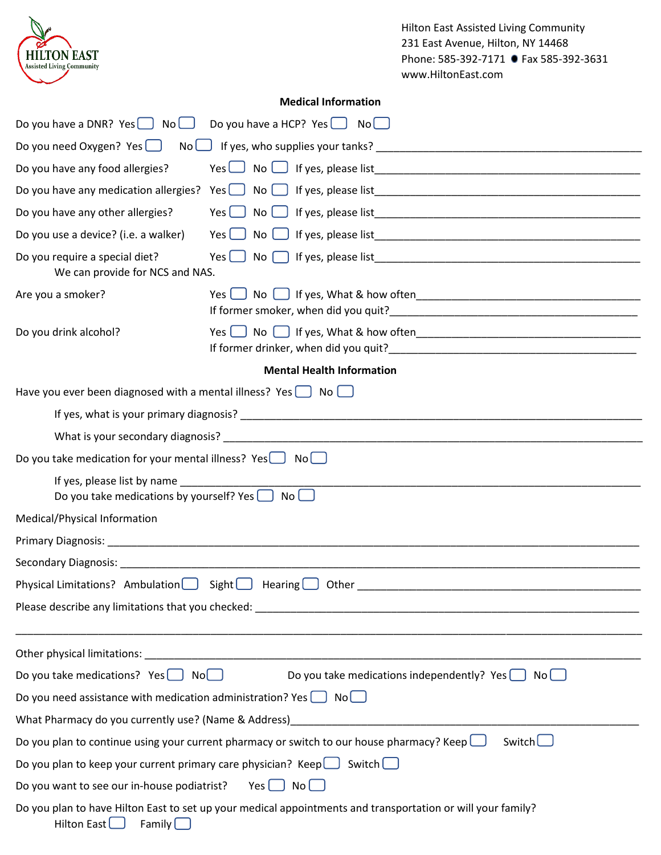| <b>HILTON EAST</b><br><b>Assisted Living Community</b>                                                      |                                         | <b>Hilton East Assisted Living Community</b><br>231 East Avenue, Hilton, NY 14468<br>Phone: 585-392-7171 ● Fax 585-392-3631 |  |  |
|-------------------------------------------------------------------------------------------------------------|-----------------------------------------|-----------------------------------------------------------------------------------------------------------------------------|--|--|
|                                                                                                             |                                         | www.HiltonEast.com                                                                                                          |  |  |
|                                                                                                             | <b>Medical Information</b>              |                                                                                                                             |  |  |
| Do you have a DNR? $Yes$ No $\Box$                                                                          | Do you have a HCP? Yes $\Box$ No $\Box$ |                                                                                                                             |  |  |
| Do you need Oxygen? Yes $\Box$                                                                              |                                         |                                                                                                                             |  |  |
| Do you have any food allergies?                                                                             |                                         |                                                                                                                             |  |  |
|                                                                                                             |                                         |                                                                                                                             |  |  |
| Do you have any other allergies?                                                                            | Yes $\Box$                              |                                                                                                                             |  |  |
| Do you use a device? (i.e. a walker)                                                                        | Yes[] No[]                              |                                                                                                                             |  |  |
| Do you require a special diet?<br>We can provide for NCS and NAS.                                           |                                         |                                                                                                                             |  |  |
| Are you a smoker?                                                                                           |                                         |                                                                                                                             |  |  |
| Do you drink alcohol?                                                                                       |                                         |                                                                                                                             |  |  |
|                                                                                                             | <b>Mental Health Information</b>        |                                                                                                                             |  |  |
| Have you ever been diagnosed with a mental illness? Yes $\Box$ No $\Box$                                    |                                         |                                                                                                                             |  |  |
|                                                                                                             |                                         |                                                                                                                             |  |  |
|                                                                                                             |                                         |                                                                                                                             |  |  |
| Do you take medication for your mental illness? $Yes \cup No \cup$                                          |                                         |                                                                                                                             |  |  |
| If yes, please list by name<br>Do you take medications by yourself? Yes                                     | No                                      |                                                                                                                             |  |  |
| Medical/Physical Information                                                                                |                                         |                                                                                                                             |  |  |
|                                                                                                             |                                         |                                                                                                                             |  |  |
|                                                                                                             |                                         |                                                                                                                             |  |  |
|                                                                                                             |                                         | Physical Limitations? Ambulation Sight Busing Busing Business Other Reading Other Reading Communication Commun              |  |  |
| ,我们也不能在这里的时候,我们也不能在这里的时候,我们也不能会在这里的时候,我们也不能会在这里的时候,我们也不能会在这里的时候,我们也不能会在这里的时候,我们也不                           |                                         |                                                                                                                             |  |  |
|                                                                                                             |                                         |                                                                                                                             |  |  |
| Do you take medications? Yes $\Box$ No $\Box$ Do you take medications independently? Yes $\Box$ No $\Box$   |                                         |                                                                                                                             |  |  |
| Do you need assistance with medication administration? Yes $\Box$ No $\Box$                                 |                                         |                                                                                                                             |  |  |
|                                                                                                             |                                         |                                                                                                                             |  |  |
| Switch<br>Do you plan to continue using your current pharmacy or switch to our house pharmacy? Keep $\Box$  |                                         |                                                                                                                             |  |  |
| Do you plan to keep your current primary care physician? Keep $\Box$ Switch $\Box$                          |                                         |                                                                                                                             |  |  |
| Do you want to see our in-house podiatrist? Yes $\Box$ No $\Box$                                            |                                         |                                                                                                                             |  |  |
| Do you plan to have Hilton East to set up your medical appointments and transportation or will your family? |                                         |                                                                                                                             |  |  |

| Hilton East l | Family |
|---------------|--------|
|               |        |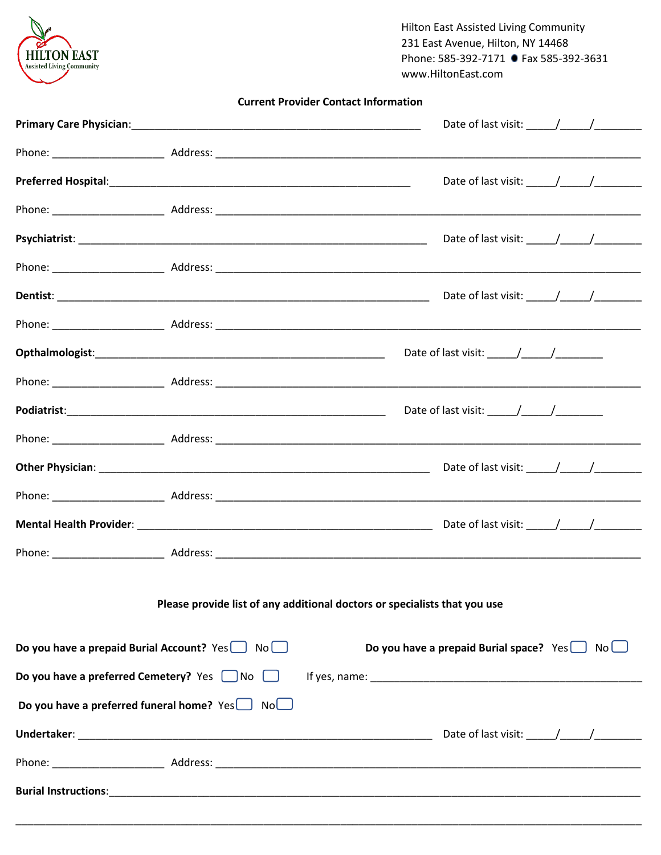

**Hilton East Assisted Living Community** 231 East Avenue, Hilton, NY 14468 Phone: 585-392-7171 • Fax 585-392-3631 www.HiltonEast.com

|  |  |  | <b>Current Provider Contact Information</b> |
|--|--|--|---------------------------------------------|
|--|--|--|---------------------------------------------|

|                                                                           |  |  | Date of last visit: $\frac{1}{2}$ /                                                 |  |  |
|---------------------------------------------------------------------------|--|--|-------------------------------------------------------------------------------------|--|--|
|                                                                           |  |  |                                                                                     |  |  |
|                                                                           |  |  |                                                                                     |  |  |
|                                                                           |  |  |                                                                                     |  |  |
|                                                                           |  |  | Date of last visit: $\frac{1}{\frac{1}{2} \cdot 1}$ $\frac{1}{\frac{1}{2} \cdot 1}$ |  |  |
|                                                                           |  |  |                                                                                     |  |  |
|                                                                           |  |  |                                                                                     |  |  |
|                                                                           |  |  |                                                                                     |  |  |
|                                                                           |  |  | Date of last visit: $\frac{1}{\sqrt{2}}$                                            |  |  |
|                                                                           |  |  |                                                                                     |  |  |
|                                                                           |  |  |                                                                                     |  |  |
|                                                                           |  |  |                                                                                     |  |  |
|                                                                           |  |  |                                                                                     |  |  |
|                                                                           |  |  |                                                                                     |  |  |
| Please provide list of any additional doctors or specialists that you use |  |  |                                                                                     |  |  |
| Do you have a prepaid Burial Account? Yes No                              |  |  | Do you have a prepaid Burial space? $Yes \Box No \Box$                              |  |  |
| Do you have a preferred Cemetery? Yes No                                  |  |  |                                                                                     |  |  |
| Do you have a preferred funeral home? $Yes$ No $\Box$                     |  |  |                                                                                     |  |  |
|                                                                           |  |  |                                                                                     |  |  |
|                                                                           |  |  |                                                                                     |  |  |
|                                                                           |  |  |                                                                                     |  |  |
|                                                                           |  |  |                                                                                     |  |  |